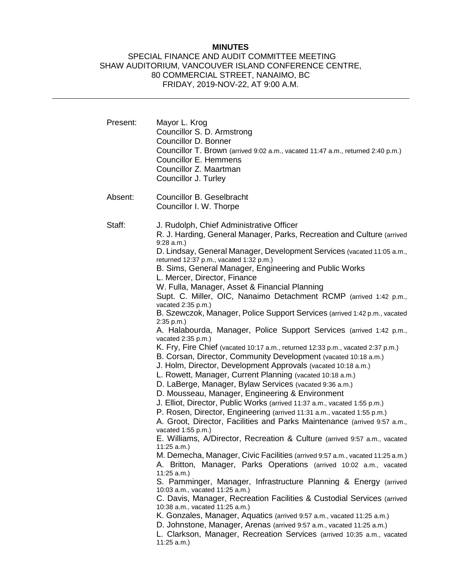## **MINUTES**

# SPECIAL FINANCE AND AUDIT COMMITTEE MEETING SHAW AUDITORIUM, VANCOUVER ISLAND CONFERENCE CENTRE, 80 COMMERCIAL STREET, NANAIMO, BC FRIDAY, 2019-NOV-22, AT 9:00 A.M.

| Present: | Mayor L. Krog<br>Councillor S. D. Armstrong<br>Councillor D. Bonner<br>Councillor T. Brown (arrived 9:02 a.m., vacated 11:47 a.m., returned 2:40 p.m.)<br><b>Councillor E. Hemmens</b><br>Councillor Z. Maartman<br>Councillor J. Turley                                                                                                                                                                                                                                                                                                                                                                                                                                                                                                                                                                                                                                                                                                                                                                                                                                                                                                                                                                                                                                                                                                                                                                                                                                                                                                                                                                                                                                                                                                                                                                                                                                                                                                                                                                                                                                         |
|----------|----------------------------------------------------------------------------------------------------------------------------------------------------------------------------------------------------------------------------------------------------------------------------------------------------------------------------------------------------------------------------------------------------------------------------------------------------------------------------------------------------------------------------------------------------------------------------------------------------------------------------------------------------------------------------------------------------------------------------------------------------------------------------------------------------------------------------------------------------------------------------------------------------------------------------------------------------------------------------------------------------------------------------------------------------------------------------------------------------------------------------------------------------------------------------------------------------------------------------------------------------------------------------------------------------------------------------------------------------------------------------------------------------------------------------------------------------------------------------------------------------------------------------------------------------------------------------------------------------------------------------------------------------------------------------------------------------------------------------------------------------------------------------------------------------------------------------------------------------------------------------------------------------------------------------------------------------------------------------------------------------------------------------------------------------------------------------------|
| Absent:  | Councillor B. Geselbracht<br>Councillor I. W. Thorpe                                                                                                                                                                                                                                                                                                                                                                                                                                                                                                                                                                                                                                                                                                                                                                                                                                                                                                                                                                                                                                                                                                                                                                                                                                                                                                                                                                                                                                                                                                                                                                                                                                                                                                                                                                                                                                                                                                                                                                                                                             |
| Staff:   | J. Rudolph, Chief Administrative Officer<br>R. J. Harding, General Manager, Parks, Recreation and Culture (arrived<br>$9:28$ a.m.)<br>D. Lindsay, General Manager, Development Services (vacated 11:05 a.m.,<br>returned 12:37 p.m., vacated 1:32 p.m.)<br>B. Sims, General Manager, Engineering and Public Works<br>L. Mercer, Director, Finance<br>W. Fulla, Manager, Asset & Financial Planning<br>Supt. C. Miller, OIC, Nanaimo Detachment RCMP (arrived 1:42 p.m.,<br>vacated 2:35 p.m.)<br>B. Szewczok, Manager, Police Support Services (arrived 1:42 p.m., vacated<br>2:35 p.m.<br>A. Halabourda, Manager, Police Support Services (arrived 1:42 p.m.,<br>vacated 2:35 p.m.)<br>K. Fry, Fire Chief (vacated 10:17 a.m., returned 12:33 p.m., vacated 2:37 p.m.)<br>B. Corsan, Director, Community Development (vacated 10:18 a.m.)<br>J. Holm, Director, Development Approvals (vacated 10:18 a.m.)<br>L. Rowett, Manager, Current Planning (vacated 10:18 a.m.)<br>D. LaBerge, Manager, Bylaw Services (vacated 9:36 a.m.)<br>D. Mousseau, Manager, Engineering & Environment<br>J. Elliot, Director, Public Works (arrived 11:37 a.m., vacated 1:55 p.m.)<br>P. Rosen, Director, Engineering (arrived 11:31 a.m., vacated 1:55 p.m.)<br>A. Groot, Director, Facilities and Parks Maintenance (arrived 9:57 a.m.,<br>vacated 1:55 p.m.)<br>E. Williams, A/Director, Recreation & Culture (arrived 9:57 a.m., vacated<br>11:25 a.m.)<br>M. Demecha, Manager, Civic Facilities (arrived 9:57 a.m., vacated 11:25 a.m.)<br>A. Britton, Manager, Parks Operations (arrived 10:02 a.m., vacated<br>11:25 a.m.<br>S. Pamminger, Manager, Infrastructure Planning & Energy (arrived<br>10:03 a.m., vacated 11:25 a.m.)<br>C. Davis, Manager, Recreation Facilities & Custodial Services (arrived<br>10:38 a.m., vacated 11:25 a.m.)<br>K. Gonzales, Manager, Aquatics (arrived 9:57 a.m., vacated 11:25 a.m.)<br>D. Johnstone, Manager, Arenas (arrived 9:57 a.m., vacated 11:25 a.m.)<br>L. Clarkson, Manager, Recreation Services (arrived 10:35 a.m., vacated<br>11:25 a.m. |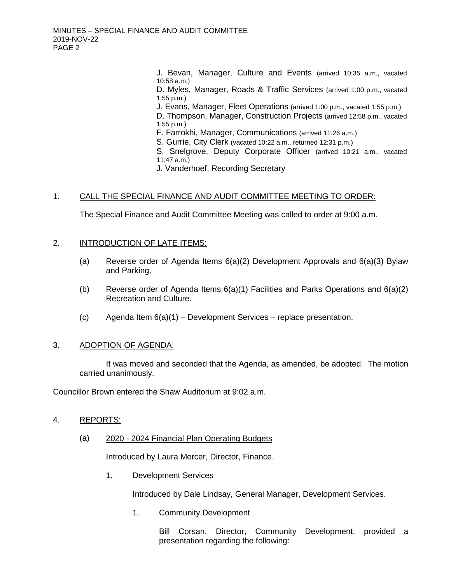J. Bevan, Manager, Culture and Events (arrived 10:35 a.m., vacated 10:58 a.m.)

D. Myles, Manager, Roads & Traffic Services (arrived 1:00 p.m., vacated 1:55 p.m.)

J. Evans, Manager, Fleet Operations (arrived 1:00 p.m., vacated 1:55 p.m.)

D. Thompson, Manager, Construction Projects (arrived 12:58 p.m., vacated 1:55 p.m.)

F. Farrokhi, Manager, Communications (arrived 11:26 a.m.)

S. Gurrie, City Clerk (vacated 10:22 a.m., returned 12:31 p.m.)

S. Snelgrove, Deputy Corporate Officer (arrived 10:21 a.m., vacated  $11:47$  a.m.

J. Vanderhoef, Recording Secretary

#### 1. CALL THE SPECIAL FINANCE AND AUDIT COMMITTEE MEETING TO ORDER:

The Special Finance and Audit Committee Meeting was called to order at 9:00 a.m.

## 2. INTRODUCTION OF LATE ITEMS:

- (a) Reverse order of Agenda Items 6(a)(2) Development Approvals and 6(a)(3) Bylaw and Parking.
- (b) Reverse order of Agenda Items 6(a)(1) Facilities and Parks Operations and 6(a)(2) Recreation and Culture.
- (c) Agenda Item  $6(a)(1)$  Development Services replace presentation.

#### 3. ADOPTION OF AGENDA:

It was moved and seconded that the Agenda, as amended, be adopted. The motion carried unanimously.

Councillor Brown entered the Shaw Auditorium at 9:02 a.m.

#### 4. REPORTS:

#### (a) 2020 - 2024 Financial Plan Operating Budgets

Introduced by Laura Mercer, Director, Finance.

1. Development Services

Introduced by Dale Lindsay, General Manager, Development Services.

1. Community Development

Bill Corsan, Director, Community Development, provided a presentation regarding the following: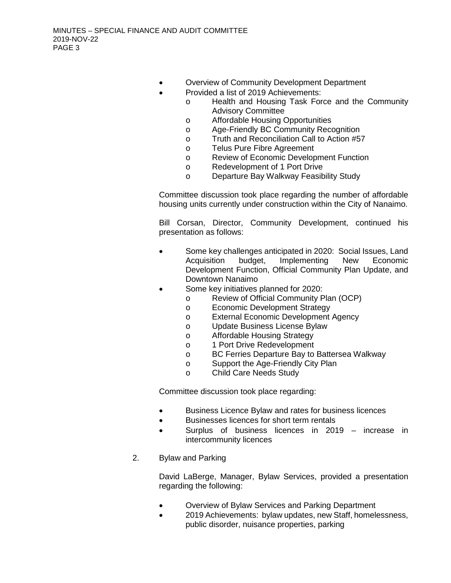- Overview of Community Development Department
- Provided a list of 2019 Achievements:
	- o Health and Housing Task Force and the Community Advisory Committee
		- o Affordable Housing Opportunities
		- o Age-Friendly BC Community Recognition
		- o Truth and Reconciliation Call to Action #57
		- o Telus Pure Fibre Agreement
		- o Review of Economic Development Function<br> **Redevelopment of 1 Port Drive**
		- Redevelopment of 1 Port Drive
		- o Departure Bay Walkway Feasibility Study

Committee discussion took place regarding the number of affordable housing units currently under construction within the City of Nanaimo.

Bill Corsan, Director, Community Development, continued his presentation as follows:

- Some key challenges anticipated in 2020: Social Issues, Land Acquisition budget, Implementing New Economic Development Function, Official Community Plan Update, and Downtown Nanaimo
- Some key initiatives planned for 2020:
	- o Review of Official Community Plan (OCP)<br> **Economic Development Strategy**
	- o Economic Development Strategy<br> **b** External Economic Development
	- External Economic Development Agency
	- o Update Business License Bylaw
	- o Affordable Housing Strategy
	- o 1 Port Drive Redevelopment<br>
	o BC Ferries Departure Bay to
	- o BC Ferries Departure Bay to Battersea Walkway<br>
	o Support the Age-Friendly City Plan
	- o Support the Age-Friendly City Plan<br>o Child Care Needs Study
	- **Child Care Needs Study**

Committee discussion took place regarding:

- Business Licence Bylaw and rates for business licences
- Businesses licences for short term rentals
- Surplus of business licences in 2019 increase in intercommunity licences
- 2. Bylaw and Parking

David LaBerge, Manager, Bylaw Services, provided a presentation regarding the following:

- Overview of Bylaw Services and Parking Department
- 2019 Achievements: bylaw updates, new Staff, homelessness, public disorder, nuisance properties, parking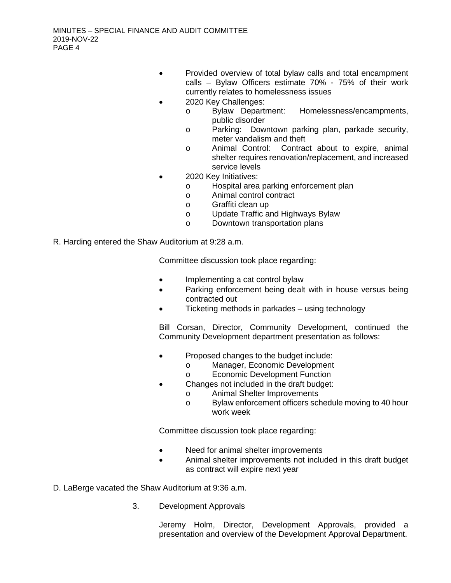- Provided overview of total bylaw calls and total encampment calls – Bylaw Officers estimate 70% - 75% of their work currently relates to homelessness issues
- 2020 Key Challenges:
	- o Bylaw Department: Homelessness/encampments, public disorder
	- o Parking: Downtown parking plan, parkade security, meter vandalism and theft
	- o Animal Control: Contract about to expire, animal shelter requires renovation/replacement, and increased service levels
- 2020 Key Initiatives:
	- o Hospital area parking enforcement plan
	- o Animal control contract
	- o Graffiti clean up
	- o Update Traffic and Highways Bylaw
	- o Downtown transportation plans
- R. Harding entered the Shaw Auditorium at 9:28 a.m.

Committee discussion took place regarding:

- Implementing a cat control bylaw
- Parking enforcement being dealt with in house versus being contracted out
- Ticketing methods in parkades using technology

Bill Corsan, Director, Community Development, continued the Community Development department presentation as follows:

- Proposed changes to the budget include:
	- o Manager, Economic Development
	- o Economic Development Function
- Changes not included in the draft budget:
	- o Animal Shelter Improvements
	- o Bylaw enforcement officers schedule moving to 40 hour work week

Committee discussion took place regarding:

- Need for animal shelter improvements
- Animal shelter improvements not included in this draft budget as contract will expire next year
- D. LaBerge vacated the Shaw Auditorium at 9:36 a.m.
	- 3. Development Approvals

Jeremy Holm, Director, Development Approvals, provided a presentation and overview of the Development Approval Department.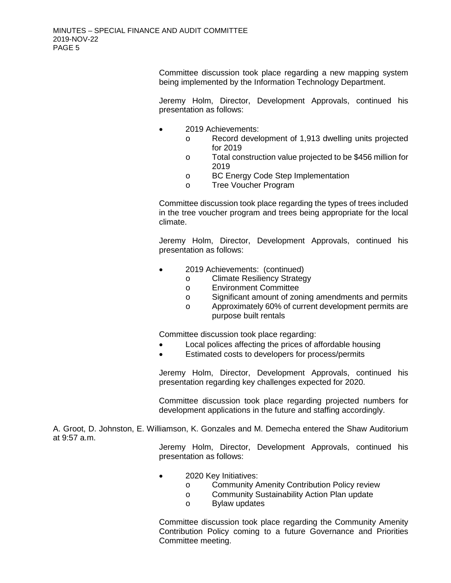Committee discussion took place regarding a new mapping system being implemented by the Information Technology Department.

Jeremy Holm, Director, Development Approvals, continued his presentation as follows:

- 2019 Achievements:
	- o Record development of 1,913 dwelling units projected for 2019
	- o Total construction value projected to be \$456 million for 2019
	- o BC Energy Code Step Implementation<br>
	O Tree Voucher Program
	- Tree Voucher Program

Committee discussion took place regarding the types of trees included in the tree voucher program and trees being appropriate for the local climate.

Jeremy Holm, Director, Development Approvals, continued his presentation as follows:

- 2019 Achievements: (continued)
	- o Climate Resiliency Strategy<br>
	o Environment Committee
	- o Environment Committee<br>
	o Significant amount of zor
	- o Significant amount of zoning amendments and permits<br>
	o Approximately 60% of current development permits are
		- Approximately 60% of current development permits are purpose built rentals

Committee discussion took place regarding:

- Local polices affecting the prices of affordable housing
- Estimated costs to developers for process/permits

Jeremy Holm, Director, Development Approvals, continued his presentation regarding key challenges expected for 2020.

Committee discussion took place regarding projected numbers for development applications in the future and staffing accordingly.

A. Groot, D. Johnston, E. Williamson, K. Gonzales and M. Demecha entered the Shaw Auditorium at 9:57 a.m.

> Jeremy Holm, Director, Development Approvals, continued his presentation as follows:

- 2020 Key Initiatives:
	- o Community Amenity Contribution Policy review<br>
	Community Sustainability Action Plan update
	- o Community Sustainability Action Plan update<br>
	Rylaw updates
	- **Bylaw updates**

Committee discussion took place regarding the Community Amenity Contribution Policy coming to a future Governance and Priorities Committee meeting.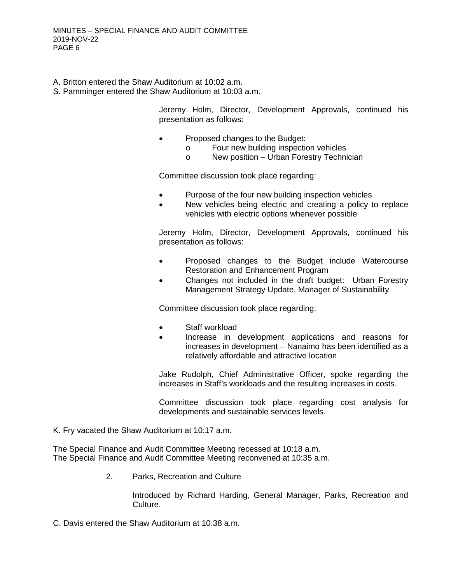- A. Britton entered the Shaw Auditorium at 10:02 a.m.
- S. Pamminger entered the Shaw Auditorium at 10:03 a.m.

Jeremy Holm, Director, Development Approvals, continued his presentation as follows:

- Proposed changes to the Budget:
	- o Four new building inspection vehicles<br>
	o New position Urban Forestry Techni
	- New position Urban Forestry Technician

Committee discussion took place regarding:

- Purpose of the four new building inspection vehicles
- New vehicles being electric and creating a policy to replace vehicles with electric options whenever possible

Jeremy Holm, Director, Development Approvals, continued his presentation as follows:

- Proposed changes to the Budget include Watercourse Restoration and Enhancement Program
- Changes not included in the draft budget: Urban Forestry Management Strategy Update, Manager of Sustainability

Committee discussion took place regarding:

- Staff workload
- Increase in development applications and reasons for increases in development – Nanaimo has been identified as a relatively affordable and attractive location

Jake Rudolph, Chief Administrative Officer, spoke regarding the increases in Staff's workloads and the resulting increases in costs.

Committee discussion took place regarding cost analysis for developments and sustainable services levels.

K. Fry vacated the Shaw Auditorium at 10:17 a.m.

The Special Finance and Audit Committee Meeting recessed at 10:18 a.m. The Special Finance and Audit Committee Meeting reconvened at 10:35 a.m.

2. Parks, Recreation and Culture

Introduced by Richard Harding, General Manager, Parks, Recreation and Culture.

C. Davis entered the Shaw Auditorium at 10:38 a.m.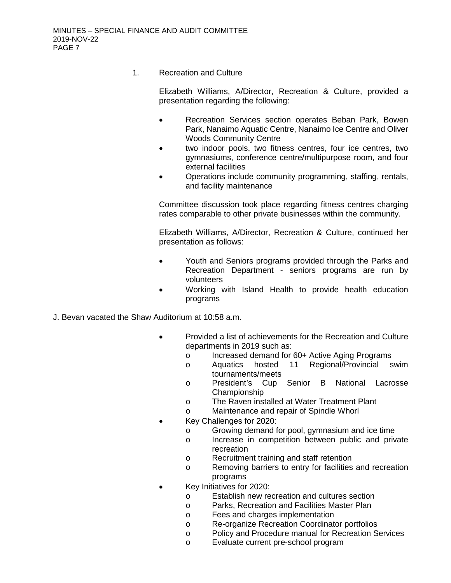1. Recreation and Culture

Elizabeth Williams, A/Director, Recreation & Culture, provided a presentation regarding the following:

- Recreation Services section operates Beban Park, Bowen Park, Nanaimo Aquatic Centre, Nanaimo Ice Centre and Oliver Woods Community Centre
- two indoor pools, two fitness centres, four ice centres, two gymnasiums, conference centre/multipurpose room, and four external facilities
- Operations include community programming, staffing, rentals, and facility maintenance

Committee discussion took place regarding fitness centres charging rates comparable to other private businesses within the community.

Elizabeth Williams, A/Director, Recreation & Culture, continued her presentation as follows:

- Youth and Seniors programs provided through the Parks and Recreation Department - seniors programs are run by volunteers
- Working with Island Health to provide health education programs
- J. Bevan vacated the Shaw Auditorium at 10:58 a.m.
	- Provided a list of achievements for the Recreation and Culture departments in 2019 such as:
		- o Increased demand for 60+ Active Aging Programs<br>o Aquatics hosted 11 Regional/Provincial swim
		- Aquatics hosted 11 Regional/Provincial tournaments/meets
		- o President's Cup Senior B National Lacrosse Championship
		- o The Raven installed at Water Treatment Plant
		- o Maintenance and repair of Spindle Whorl
	- Key Challenges for 2020:
		- o Growing demand for pool, gymnasium and ice time<br>o lncrease in competition between public and priv
		- Increase in competition between public and private recreation
		- o Recruitment training and staff retention
		- o Removing barriers to entry for facilities and recreation programs
	- Key Initiatives for 2020:
		- o Establish new recreation and cultures section<br>o Parks. Recreation and Facilities Master Plan
		- o Parks, Recreation and Facilities Master Plan<br>o Fees and charges implementation
		- Fees and charges implementation
		- o Re-organize Recreation Coordinator portfolios
		- o Policy and Procedure manual for Recreation Services
		- o Evaluate current pre-school program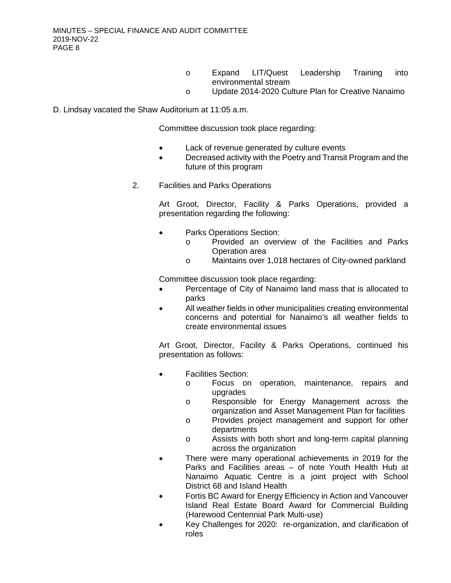- o Expand LIT/Quest Leadership Training into environmental stream
- o Update 2014-2020 Culture Plan for Creative Nanaimo

## D. Lindsay vacated the Shaw Auditorium at 11:05 a.m.

Committee discussion took place regarding:

- Lack of revenue generated by culture events
- Decreased activity with the Poetry and Transit Program and the future of this program
- 2. Facilities and Parks Operations

Art Groot, Director, Facility & Parks Operations, provided a presentation regarding the following:

- Parks Operations Section:
	- o Provided an overview of the Facilities and Parks Operation area
	- o Maintains over 1,018 hectares of City-owned parkland

Committee discussion took place regarding:

- Percentage of City of Nanaimo land mass that is allocated to parks
- All weather fields in other municipalities creating environmental concerns and potential for Nanaimo's all weather fields to create environmental issues

Art Groot, Director, Facility & Parks Operations, continued his presentation as follows:

- Facilities Section:
	- o Focus on operation, maintenance, repairs and upgrades
	- o Responsible for Energy Management across the organization and Asset Management Plan for facilities
	- o Provides project management and support for other departments
	- o Assists with both short and long-term capital planning across the organization
- There were many operational achievements in 2019 for the Parks and Facilities areas – of note Youth Health Hub at Nanaimo Aquatic Centre is a joint project with School District 68 and Island Health
- Fortis BC Award for Energy Efficiency in Action and Vancouver Island Real Estate Board Award for Commercial Building (Harewood Centennial Park Multi-use)
- Key Challenges for 2020: re-organization, and clarification of roles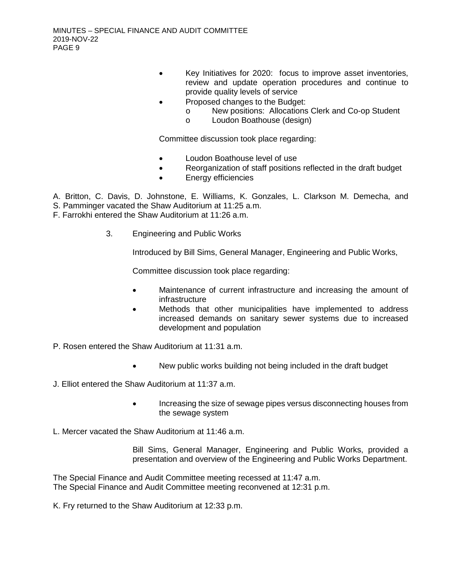- Key Initiatives for 2020: focus to improve asset inventories, review and update operation procedures and continue to provide quality levels of service
- Proposed changes to the Budget:
	- o New positions: Allocations Clerk and Co-op Student <br> **Comparison Contract Contract Contract Contract Contract Contract Contract Contract Contract Contract Contract** C
	- Loudon Boathouse (design)

Committee discussion took place regarding:

- Loudon Boathouse level of use
- Reorganization of staff positions reflected in the draft budget
- Energy efficiencies

A. Britton, C. Davis, D. Johnstone, E. Williams, K. Gonzales, L. Clarkson M. Demecha, and

- S. Pamminger vacated the Shaw Auditorium at 11:25 a.m.
- F. Farrokhi entered the Shaw Auditorium at 11:26 a.m.
	- 3. Engineering and Public Works

Introduced by Bill Sims, General Manager, Engineering and Public Works,

Committee discussion took place regarding:

- Maintenance of current infrastructure and increasing the amount of infrastructure
- Methods that other municipalities have implemented to address increased demands on sanitary sewer systems due to increased development and population
- P. Rosen entered the Shaw Auditorium at 11:31 a.m.
	- New public works building not being included in the draft budget
- J. Elliot entered the Shaw Auditorium at 11:37 a.m.
	- Increasing the size of sewage pipes versus disconnecting houses from the sewage system
- L. Mercer vacated the Shaw Auditorium at 11:46 a.m.

Bill Sims, General Manager, Engineering and Public Works, provided a presentation and overview of the Engineering and Public Works Department.

The Special Finance and Audit Committee meeting recessed at 11:47 a.m. The Special Finance and Audit Committee meeting reconvened at 12:31 p.m.

K. Fry returned to the Shaw Auditorium at 12:33 p.m.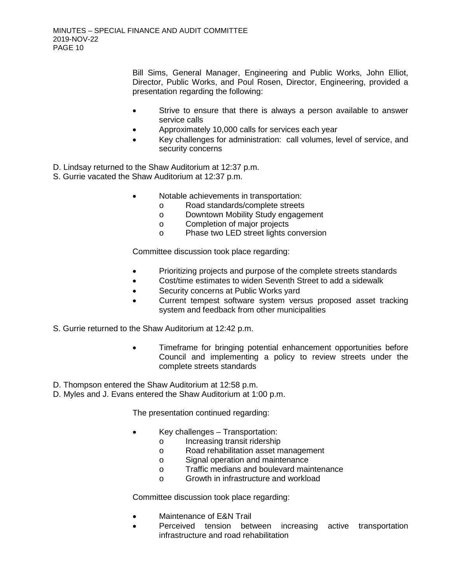Bill Sims, General Manager, Engineering and Public Works, John Elliot, Director, Public Works, and Poul Rosen, Director, Engineering, provided a presentation regarding the following:

- Strive to ensure that there is always a person available to answer service calls
- Approximately 10,000 calls for services each year
- Key challenges for administration: call volumes, level of service, and security concerns
- D. Lindsay returned to the Shaw Auditorium at 12:37 p.m.
- S. Gurrie vacated the Shaw Auditorium at 12:37 p.m.
	- Notable achievements in transportation:
		- o Road standards/complete streets
		- o Downtown Mobility Study engagement
		- o Completion of major projects<br>
		o Phase two LED street lights c
		- Phase two LED street lights conversion

Committee discussion took place regarding:

- Prioritizing projects and purpose of the complete streets standards
- Cost/time estimates to widen Seventh Street to add a sidewalk
- Security concerns at Public Works yard
- Current tempest software system versus proposed asset tracking system and feedback from other municipalities
- S. Gurrie returned to the Shaw Auditorium at 12:42 p.m.
	- Timeframe for bringing potential enhancement opportunities before Council and implementing a policy to review streets under the complete streets standards
- D. Thompson entered the Shaw Auditorium at 12:58 p.m.
- D. Myles and J. Evans entered the Shaw Auditorium at 1:00 p.m.

The presentation continued regarding:

- Key challenges Transportation:
	- o Increasing transit ridership<br>
	o Road rehabilitation asset m
	- o Road rehabilitation asset management<br>
	o Signal operation and maintenance
	- Signal operation and maintenance
	- o Traffic medians and boulevard maintenance
	- o Growth in infrastructure and workload

Committee discussion took place regarding:

- Maintenance of E&N Trail
- Perceived tension between increasing active transportation infrastructure and road rehabilitation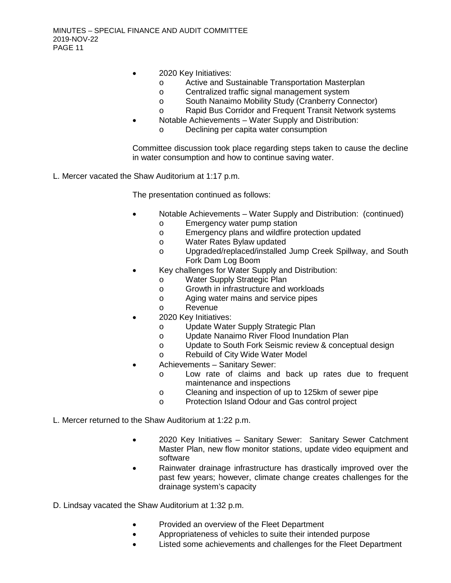- 2020 Key Initiatives:
	- o Active and Sustainable Transportation Masterplan<br>
	o Centralized traffic signal management system
	- o Centralized traffic signal management system<br>
	o South Nanaimo Mobility Study (Cranberry Con
	- South Nanaimo Mobility Study (Cranberry Connector)
	- o Rapid Bus Corridor and Frequent Transit Network systems
- Notable Achievements Water Supply and Distribution:
	- o Declining per capita water consumption

Committee discussion took place regarding steps taken to cause the decline in water consumption and how to continue saving water.

L. Mercer vacated the Shaw Auditorium at 1:17 p.m.

The presentation continued as follows:

- Notable Achievements Water Supply and Distribution: (continued)
	- o Emergency water pump station<br> **Emergency plans and wildfire pro-**
	- o Emergency plans and wildfire protection updated<br>
	o Water Rates Bylaw updated
	- o Water Rates Bylaw updated<br>
	o Upgraded/replaced/installed
	- Upgraded/replaced/installed Jump Creek Spillway, and South Fork Dam Log Boom
- Key challenges for Water Supply and Distribution:
	- o Water Supply Strategic Plan
	- o Growth in infrastructure and workloads<br>
	o Aging water mains and service pipes
	- o Aging water mains and service pipes<br>
	Revenue
	- **Revenue**
- 2020 Key Initiatives:
	- o Update Water Supply Strategic Plan
	- o Update Nanaimo River Flood Inundation Plan
	- o Update to South Fork Seismic review & conceptual design
	- o Rebuild of City Wide Water Model
- Achievements Sanitary Sewer:
	- o Low rate of claims and back up rates due to frequent maintenance and inspections
	- o Cleaning and inspection of up to 125km of sewer pipe
	- o Protection Island Odour and Gas control project
- L. Mercer returned to the Shaw Auditorium at 1:22 p.m.
	- 2020 Key Initiatives Sanitary Sewer: Sanitary Sewer Catchment Master Plan, new flow monitor stations, update video equipment and software
	- Rainwater drainage infrastructure has drastically improved over the past few years; however, climate change creates challenges for the drainage system's capacity
- D. Lindsay vacated the Shaw Auditorium at 1:32 p.m.
	- Provided an overview of the Fleet Department
	- Appropriateness of vehicles to suite their intended purpose
	- Listed some achievements and challenges for the Fleet Department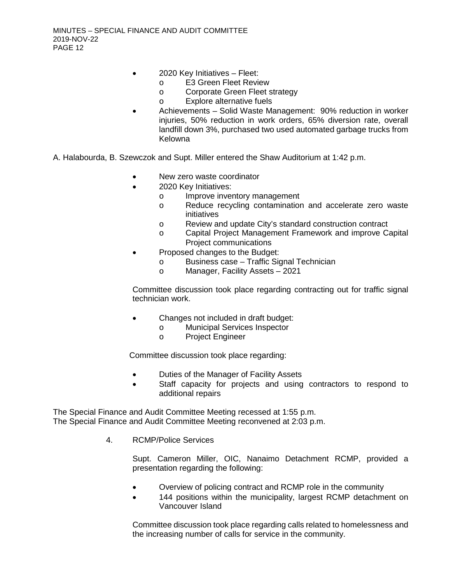- 2020 Key Initiatives Fleet:
	- o E3 Green Fleet Review<br>o Corporate Green Fleet s
	- o Corporate Green Fleet strategy<br>
	o Explore alternative fuels
	- Explore alternative fuels
- Achievements Solid Waste Management: 90% reduction in worker injuries, 50% reduction in work orders, 65% diversion rate, overall landfill down 3%, purchased two used automated garbage trucks from Kelowna
- A. Halabourda, B. Szewczok and Supt. Miller entered the Shaw Auditorium at 1:42 p.m.
	- New zero waste coordinator
	- 2020 Key Initiatives:
		- o Improve inventory management
		- o Reduce recycling contamination and accelerate zero waste initiatives
		- o Review and update City's standard construction contract
		- o Capital Project Management Framework and improve Capital Project communications
		- Proposed changes to the Budget:
			- o Business case Traffic Signal Technician
			- o Manager, Facility Assets 2021

Committee discussion took place regarding contracting out for traffic signal technician work.

- Changes not included in draft budget:
	- o Municipal Services Inspector
	- Project Engineer

Committee discussion took place regarding:

- Duties of the Manager of Facility Assets
- Staff capacity for projects and using contractors to respond to additional repairs

The Special Finance and Audit Committee Meeting recessed at 1:55 p.m. The Special Finance and Audit Committee Meeting reconvened at 2:03 p.m.

4. RCMP/Police Services

Supt. Cameron Miller, OIC, Nanaimo Detachment RCMP, provided a presentation regarding the following:

- Overview of policing contract and RCMP role in the community
- 144 positions within the municipality, largest RCMP detachment on Vancouver Island

Committee discussion took place regarding calls related to homelessness and the increasing number of calls for service in the community.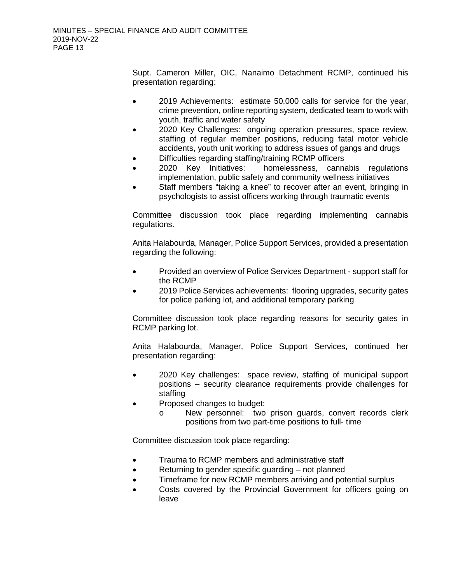Supt. Cameron Miller, OIC, Nanaimo Detachment RCMP, continued his presentation regarding:

- 2019 Achievements: estimate 50,000 calls for service for the year, crime prevention, online reporting system, dedicated team to work with youth, traffic and water safety
- 2020 Key Challenges: ongoing operation pressures, space review, staffing of regular member positions, reducing fatal motor vehicle accidents, youth unit working to address issues of gangs and drugs
- Difficulties regarding staffing/training RCMP officers
- 2020 Key Initiatives: homelessness, cannabis regulations implementation, public safety and community wellness initiatives
- Staff members "taking a knee" to recover after an event, bringing in psychologists to assist officers working through traumatic events

Committee discussion took place regarding implementing cannabis regulations.

Anita Halabourda, Manager, Police Support Services, provided a presentation regarding the following:

- Provided an overview of Police Services Department support staff for the RCMP
- 2019 Police Services achievements: flooring upgrades, security gates for police parking lot, and additional temporary parking

Committee discussion took place regarding reasons for security gates in RCMP parking lot.

Anita Halabourda, Manager, Police Support Services, continued her presentation regarding:

- 2020 Key challenges: space review, staffing of municipal support positions – security clearance requirements provide challenges for staffing
- Proposed changes to budget:
	- o New personnel: two prison guards, convert records clerk positions from two part-time positions to full- time

Committee discussion took place regarding:

- Trauma to RCMP members and administrative staff
- Returning to gender specific guarding not planned
- Timeframe for new RCMP members arriving and potential surplus
- Costs covered by the Provincial Government for officers going on leave